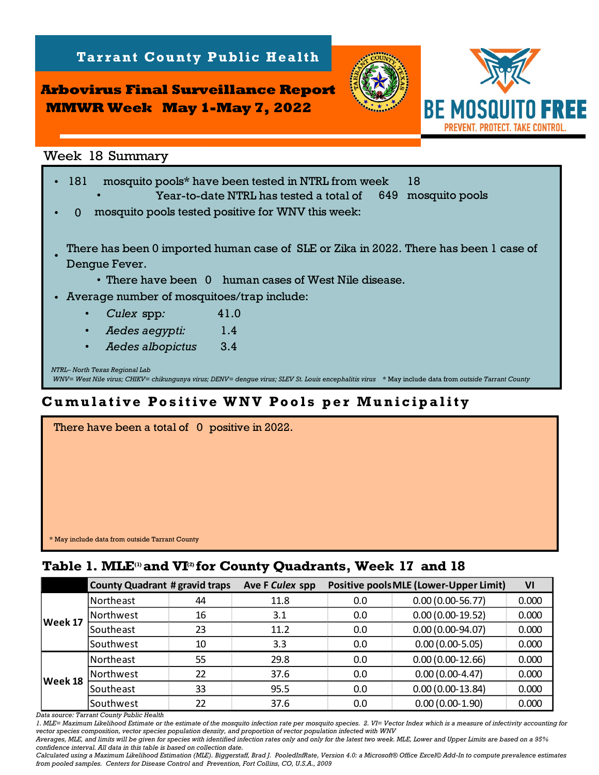**Tarrant County Public Health** 

**Arbovirus Final Surveillance Report MMWR Week May 1-May 7, 2022**



*NTRL– North Texas Regional Lab WNV= West Nile virus; CHIKV= chikungunya virus; DENV= dengue virus; SLEV St. Louis encephalitis virus* \* May include data from *outside Tarrant County* •181 mosquito pools\* have been tested in NTRL from week 18 Year-to-date NTRL has tested a total of 649 mosquito pools • $\Omega$ • There have been 0 human cases of West Nile disease. • Average number of mosquitoes/trap include: • *Culex* spp*:* •• *Aedes albopictus:* 3.4  *Aedes aegypti:* 1.4 mosquito pools tested positive for WNV this week: 41.0 There has been 0 imported human case of SLE or Zika in 2022. There has been 1 case of Dengue Fever. •**Table 1. MLE 17 and 1912 and 17 and 17 and 17 and 17 and 17 and 17 and 17 and 17 and 17 and 17 and 17 and 17 and 17 and 17 and 17 and 17 and 17 a** 

## **Cumulative Positive WNV Pools per Municipality**

| There have been a total of 0 positive in 2022. |
|------------------------------------------------|
|                                                |
|                                                |
|                                                |
|                                                |
| * May include data from outside Tarrant County |

|         | <b>County Quadrant # gravid traps</b> |    | Ave F Culex spp |     | <b>Positive pools MLE (Lower-Upper Limit)</b> | VI    |
|---------|---------------------------------------|----|-----------------|-----|-----------------------------------------------|-------|
| Week 17 | Northeast                             | 44 | 11.8            | 0.0 | $0.00(0.00-56.77)$                            | 0.000 |
|         | Northwest                             | 16 | 3.1             | 0.0 | $0.00(0.00-19.52)$                            | 0.000 |
|         | Southeast                             | 23 | 11.2            | 0.0 | $0.00(0.00-94.07)$                            | 0.000 |
|         | Southwest                             | 10 | 3.3             | 0.0 | $0.00(0.00-5.05)$                             | 0.000 |
| Week 18 | Northeast                             | 55 | 29.8            | 0.0 | $0.00(0.00-12.66)$                            | 0.000 |
|         | Northwest                             | 22 | 37.6            | 0.0 | $0.00(0.00-4.47)$                             | 0.000 |
|         | <b>Southeast</b>                      | 33 | 95.5            | 0.0 | $0.00(0.00-13.84)$                            | 0.000 |
|         | Southwest                             | 22 | 37.6            | 0.0 | $0.00(0.00-1.90)$                             | 0.000 |

*Data source: Tarrant County Public Health* 

*1. MLE= Maximum Likelihood Estimate or the estimate of the mosquito infection rate per mosquito species. 2. VI= Vector Index which is a measure of infectivity accounting for vector species composition, vector species population density, and proportion of vector population infected with WNV*

*Averages, MLE, and limits will be given for species with identified infection rates only and only for the latest two week. MLE, Lower and Upper Limits are based on a 95% confidence interval. All data in this table is based on collection date.*

*Calculated using a Maximum Likelihood Estimation (MLE). Biggerstaff, Brad J. PooledInfRate, Version 4.0: a Microsoft® Office Excel© Add-In to compute prevalence estimates from pooled samples. Centers for Disease Control and Prevention, Fort Collins, CO, U.S.A., 2009*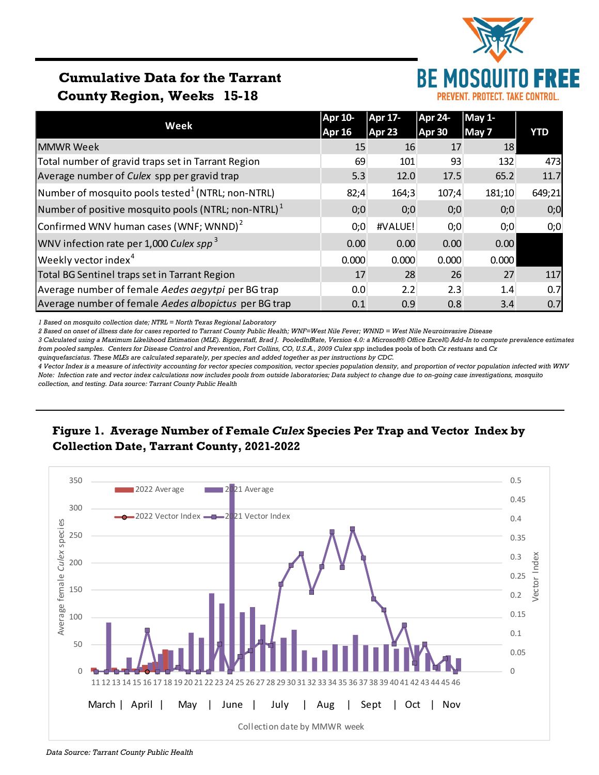

# **Cumulative Data for the Tarrant County Region, Weeks 15-18**

|                                                        | <b>Apr 10-</b> | Apr 17- | <b>Apr 24-</b> | May 1- |        |  |
|--------------------------------------------------------|----------------|---------|----------------|--------|--------|--|
| Week                                                   | <b>Apr 16</b>  | Apr 23  | Apr 30         | May 7  | YTD    |  |
| <b>MMWR Week</b>                                       | 15             | 16      | 17             | 18     |        |  |
| Total number of gravid traps set in Tarrant Region     | 69             | 101     | 93             | 132    | 473    |  |
| Average number of Culex spp per gravid trap            | 5.3            | 12.0    | 17.5           | 65.2   | 11.7   |  |
| Number of mosquito pools tested $^1$ (NTRL; non-NTRL)  | 82;4           | 164;3   | 107;4          | 181;10 | 649;21 |  |
| Number of positive mosquito pools (NTRL; non-NTRL) $1$ | 0;0            | 0;0     | 0;0            | 0;0    | 0;0    |  |
| Confirmed WNV human cases (WNF; WNND) $2$              | 0;0            | #VALUE! | 0;0            | 0;0    | 0;0    |  |
| WNV infection rate per 1,000 Culex spp <sup>3</sup>    | 0.00           | 0.00    | 0.00           | 0.00   |        |  |
| Weekly vector index <sup>4</sup>                       | 0.000          | 0.000   | 0.000          | 0.000  |        |  |
| Total BG Sentinel traps set in Tarrant Region          | 17             | 28      | 26             | 27     | 117    |  |
| Average number of female Aedes aegytpi per BG trap     | 0.0            | 2.2     | 2.3            | 1.4    | 0.7    |  |
| Average number of female Aedes albopictus per BG trap  | 0.1            | 0.9     | 0.8            | 3.4    | 0.7    |  |

*1 Based on mosquito collection date; NTRL = North Texas Regional Laboratory*

*2 Based on onset of illness date for cases reported to Tarrant County Public Health; WNF=West Nile Fever; WNND = West Nile Neuroinvasive Disease*

*3 Calculated using a Maximum Likelihood Estimation (MLE). Biggerstaff, Brad J. PooledInfRate, Version 4.0: a Microsoft® Office Excel© Add-In to compute prevalence estimates from pooled samples. Centers for Disease Control and Prevention, Fort Collins, CO, U.S.A., 2009 Culex spp* includes pools of both *Cx restuans* and *Cx* 

*quinquefasciatus. These MLEs are calculated separately, per species and added together as per instructions by CDC.*

*4 Vector Index is a measure of infectivity accounting for vector species composition, vector species population density, and proportion of vector population infected with WNV Note: Infection rate and vector index calculations now includes pools from outside laboratories; Data subject to change due to on-going case investigations, mosquito collection, and testing. Data source: Tarrant County Public Health*

### **Figure 1. Average Number of Female** *Culex* **Species Per Trap and Vector Index by Collection Date, Tarrant County, 2021-2022**



*Data Source: Tarrant County Public Health*